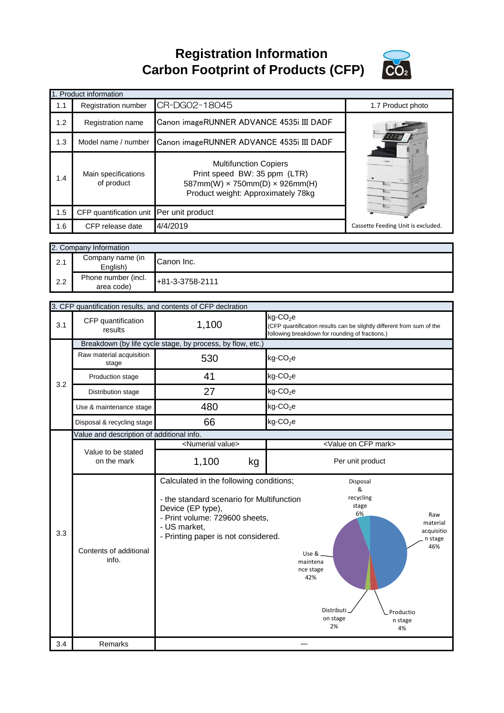**Registration Information Carbon Footprint of Products (CFP)**



|     | 1. Product information                     |                                                                                                                                                                                                                                                                              |                                                                         |                                                                                                                            |  |
|-----|--------------------------------------------|------------------------------------------------------------------------------------------------------------------------------------------------------------------------------------------------------------------------------------------------------------------------------|-------------------------------------------------------------------------|----------------------------------------------------------------------------------------------------------------------------|--|
| 1.1 | Registration number                        | CR-DG02-18045                                                                                                                                                                                                                                                                |                                                                         | 1.7 Product photo                                                                                                          |  |
| 1.2 | Registration name                          | Canon imageRUNNER ADVANCE 4535i III DADF                                                                                                                                                                                                                                     |                                                                         |                                                                                                                            |  |
| 1.3 | Model name / number                        | Canon imageRUNNER ADVANCE 4535i III DADF                                                                                                                                                                                                                                     |                                                                         |                                                                                                                            |  |
| 1.4 | Main specifications<br>of product          | <b>Multifunction Copiers</b><br>Print speed BW: 35 ppm (LTR)<br>$587mm(W) \times 750mm(D) \times 926mm(H)$<br>Product weight: Approximately 78kg                                                                                                                             |                                                                         |                                                                                                                            |  |
| 1.5 | CFP quantification unit Per unit product   |                                                                                                                                                                                                                                                                              |                                                                         |                                                                                                                            |  |
| 1.6 | CFP release date                           | 4/4/2019                                                                                                                                                                                                                                                                     |                                                                         | Cassette Feeding Unit is excluded.                                                                                         |  |
|     |                                            |                                                                                                                                                                                                                                                                              |                                                                         |                                                                                                                            |  |
|     | 2. Company Information<br>Company name (in |                                                                                                                                                                                                                                                                              |                                                                         |                                                                                                                            |  |
| 2.1 | English)                                   | Canon Inc.                                                                                                                                                                                                                                                                   |                                                                         |                                                                                                                            |  |
| 2.2 | Phone number (incl.<br>area code)          | +81-3-3758-2111                                                                                                                                                                                                                                                              |                                                                         |                                                                                                                            |  |
|     |                                            | 3. CFP quantification results, and contents of CFP declration                                                                                                                                                                                                                |                                                                         |                                                                                                                            |  |
| 3.1 | CFP quantification<br>results              | 1,100                                                                                                                                                                                                                                                                        | kg-CO <sub>2</sub> e<br>following breakdown for rounding of fractions.) | (CFP quantification results can be slightly different from sum of the                                                      |  |
|     |                                            | Breakdown (by life cycle stage, by process, by flow, etc.)                                                                                                                                                                                                                   |                                                                         |                                                                                                                            |  |
|     | Raw material acquisition<br>stage          | 530                                                                                                                                                                                                                                                                          | $kg$ -CO <sub>2</sub> e                                                 |                                                                                                                            |  |
| 3.2 | Production stage                           | 41                                                                                                                                                                                                                                                                           | $kg$ -CO <sub>2</sub> e                                                 |                                                                                                                            |  |
|     | Distribution stage                         | 27                                                                                                                                                                                                                                                                           | $kg$ -CO <sub>2</sub> e                                                 |                                                                                                                            |  |
|     | Use & maintenance stage                    | 480                                                                                                                                                                                                                                                                          | $kg$ -CO <sub>2</sub> e                                                 |                                                                                                                            |  |
|     | Disposal & recycling stage                 | 66                                                                                                                                                                                                                                                                           | $kg$ -CO <sub>2</sub> e                                                 |                                                                                                                            |  |
|     | Value and description of additional info.  |                                                                                                                                                                                                                                                                              |                                                                         |                                                                                                                            |  |
|     | Value to be stated                         | <numerial value=""></numerial>                                                                                                                                                                                                                                               |                                                                         | <value cfp="" mark="" on=""></value>                                                                                       |  |
|     | on the mark                                | 1,100<br>kg                                                                                                                                                                                                                                                                  |                                                                         | Per unit product                                                                                                           |  |
| 3.3 | Contents of additional<br>info.            | Calculated in the following conditions;<br>- the standard scenario for Multifunction<br>Device (EP type),<br>- Print volume: 729600 sheets,<br>- US market,<br>- Printing paper is not considered.<br>Use &.<br>maintena<br>nce stage<br>42%<br>Distributi<br>on stage<br>2% |                                                                         | Disposal<br>&<br>recycling<br>stage<br>6%<br>Raw<br>material<br>acquisitio<br>n stage<br>46%<br>Productio<br>n stage<br>4% |  |
| 3.4 | Remarks                                    |                                                                                                                                                                                                                                                                              |                                                                         |                                                                                                                            |  |